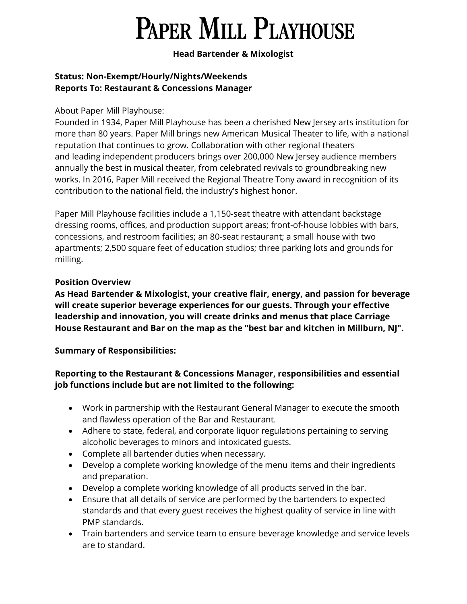# **PAPER MILL PLAYHOUSE**

### Head Bartender & Mixologist

#### Status: Non-Exempt/Hourly/Nights/Weekends Reports To: Restaurant & Concessions Manager

### About Paper Mill Playhouse:

Founded in 1934, Paper Mill Playhouse has been a cherished New Jersey arts institution for more than 80 years. Paper Mill brings new American Musical Theater to life, with a national reputation that continues to grow. Collaboration with other regional theaters and leading independent producers brings over 200,000 New Jersey audience members annually the best in musical theater, from celebrated revivals to groundbreaking new works. In 2016, Paper Mill received the Regional Theatre Tony award in recognition of its contribution to the national field, the industry's highest honor.

Paper Mill Playhouse facilities include a 1,150-seat theatre with attendant backstage dressing rooms, offices, and production support areas; front-of-house lobbies with bars, concessions, and restroom facilities; an 80-seat restaurant; a small house with two apartments; 2,500 square feet of education studios; three parking lots and grounds for milling.

### Position Overview

As Head Bartender & Mixologist, your creative flair, energy, and passion for beverage will create superior beverage experiences for our guests. Through your effective leadership and innovation, you will create drinks and menus that place Carriage House Restaurant and Bar on the map as the "best bar and kitchen in Millburn, NJ".

Summary of Responsibilities:

## Reporting to the Restaurant & Concessions Manager, responsibilities and essential job functions include but are not limited to the following:

- Work in partnership with the Restaurant General Manager to execute the smooth and flawless operation of the Bar and Restaurant.
- Adhere to state, federal, and corporate liquor regulations pertaining to serving alcoholic beverages to minors and intoxicated guests.
- Complete all bartender duties when necessary.
- Develop a complete working knowledge of the menu items and their ingredients and preparation.
- Develop a complete working knowledge of all products served in the bar.
- Ensure that all details of service are performed by the bartenders to expected standards and that every guest receives the highest quality of service in line with PMP standards.
- Train bartenders and service team to ensure beverage knowledge and service levels are to standard.